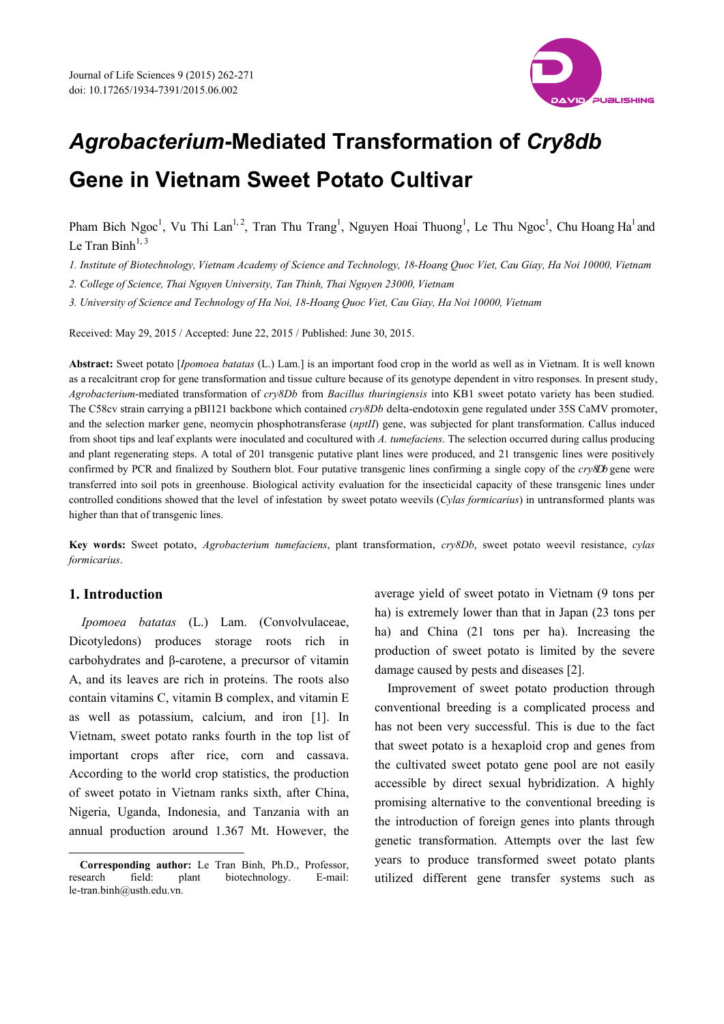

# *Agrobacterium***-Mediated Transformation of** *Cry8db*  **Gene in Vietnam Sweet Potato Cultivar**

Pham Bich Ngoc<sup>1</sup>, Vu Thi Lan<sup>1,2</sup>, Tran Thu Trang<sup>1</sup>, Nguyen Hoai Thuong<sup>1</sup>, Le Thu Ngoc<sup>1</sup>, Chu Hoang Ha<sup>1</sup> and Le Tran Binh $^{1,3}$ 

*1. Institute of Biotechnology, Vietnam Academy of Science and Technology, 18-Hoang Quoc Viet, Cau Giay, Ha Noi 10000, Vietnam* 

*2. College of Science, Thai Nguyen University, Tan Thinh, Thai Nguyen 23000, Vietnam* 

*3. University of Science and Technology of Ha Noi, 18-Hoang Quoc Viet, Cau Giay, Ha Noi 10000, Vietnam* 

Received: May 29, 2015 / Accepted: June 22, 2015 / Published: June 30, 2015.

**Abstract:** Sweet potato [*Ipomoea batatas* (L.) Lam.] is an important food crop in the world as well as in Vietnam. It is well known as a recalcitrant crop for gene transformation and tissue culture because of its genotype dependent in vitro responses. In present study, *Agrobacterium*-mediated transformation of *cry8Db* from *Bacillus thuringiensis* into KB1 sweet potato variety has been studied. The C58cv strain carrying a pBI121 backbone which contained *cry8Db* delta-endotoxin gene regulated under 35S CaMV promoter, and the selection marker gene, neomycin phosphotransferase (*nptII*) gene, was subjected for plant transformation. Callus induced from shoot tips and leaf explants were inoculated and cocultured with *A. tumefaciens*. The selection occurred during callus producing and plant regenerating steps. A total of 201 transgenic putative plant lines were produced, and 21 transgenic lines were positively confirmed by PCR and finalized by Southern blot. Four putative transgenic lines confirming a single copy of the *cry8Db* gene were transferred into soil pots in greenhouse. Biological activity evaluation for the insecticidal capacity of these transgenic lines under controlled conditions showed that the level of infestation by sweet potato weevils (*Cylas formicarius*) in untransformed plants was higher than that of transgenic lines.

**Key words:** Sweet potato, *Agrobacterium tumefaciens*, plant transformation, *cry8Db*, sweet potato weevil resistance, *cylas formicarius*.

### **1. Introduction**

 $\overline{a}$ 

*Ipomoea batatas* (L.) Lam. (Convolvulaceae, Dicotyledons) produces storage roots rich in carbohydrates and β-carotene, a precursor of vitamin A, and its leaves are rich in proteins. The roots also contain vitamins C, vitamin B complex, and vitamin E as well as potassium, calcium, and iron [1]. In Vietnam, sweet potato ranks fourth in the top list of important crops after rice, corn and cassava. According to the world crop statistics, the production of sweet potato in Vietnam ranks sixth, after China, Nigeria, Uganda, Indonesia, and Tanzania with an annual production around 1.367 Mt. However, the

average yield of sweet potato in Vietnam (9 tons per ha) is extremely lower than that in Japan (23 tons per ha) and China (21 tons per ha). Increasing the production of sweet potato is limited by the severe damage caused by pests and diseases [2].

Improvement of sweet potato production through conventional breeding is a complicated process and has not been very successful. This is due to the fact that sweet potato is a hexaploid crop and genes from the cultivated sweet potato gene pool are not easily accessible by direct sexual hybridization. A highly promising alternative to the conventional breeding is the introduction of foreign genes into plants through genetic transformation. Attempts over the last few years to produce transformed sweet potato plants utilized different gene transfer systems such as

**Corresponding author:** Le Tran Binh, Ph.D., Professor, research field: plant biotechnology. E-mail: le-tran.binh@usth.edu.vn.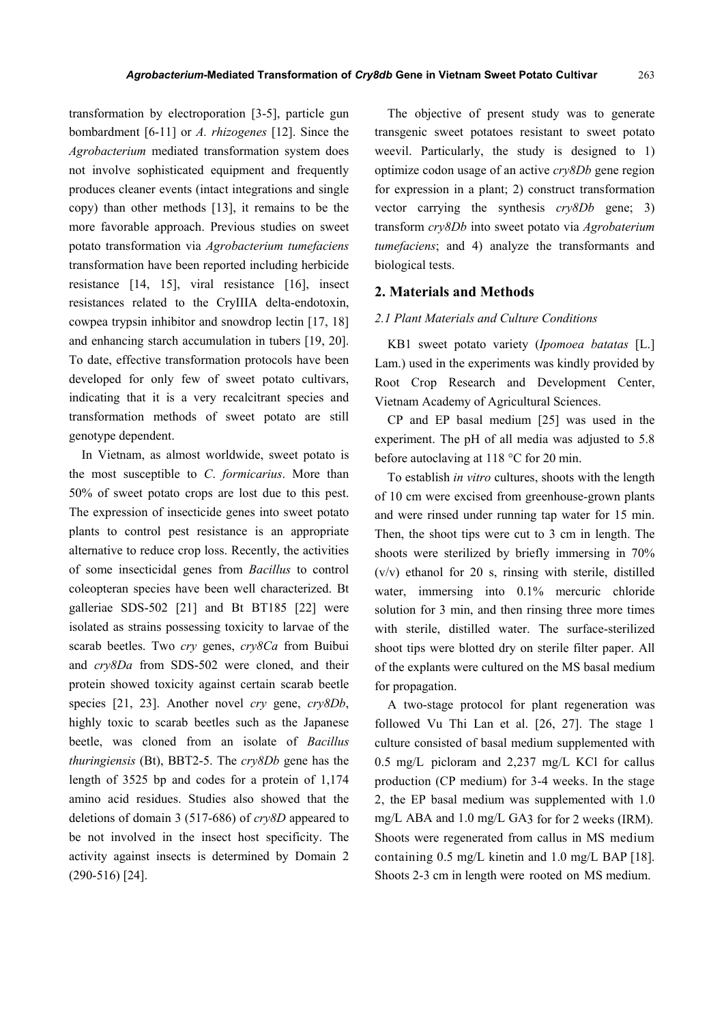transformation by electroporation [3-5], particle gun bombardment [6-11] or *A. rhizogenes* [12]. Since the *Agrobacterium* mediated transformation system does not involve sophisticated equipment and frequently produces cleaner events (intact integrations and single copy) than other methods [13], it remains to be the more favorable approach. Previous studies on sweet potato transformation via *Agrobacterium tumefaciens* transformation have been reported including herbicide resistance [14, 15], viral resistance [16], insect resistances related to the CryIIIA delta-endotoxin, cowpea trypsin inhibitor and snowdrop lectin [17, 18] and enhancing starch accumulation in tubers [19, 20]. To date, effective transformation protocols have been developed for only few of sweet potato cultivars, indicating that it is a very recalcitrant species and transformation methods of sweet potato are still genotype dependent.

In Vietnam, as almost worldwide, sweet potato is the most susceptible to *C*. *formicarius*. More than 50% of sweet potato crops are lost due to this pest. The expression of insecticide genes into sweet potato plants to control pest resistance is an appropriate alternative to reduce crop loss. Recently, the activities of some insecticidal genes from *Bacillus* to control coleopteran species have been well characterized. Bt galleriae SDS-502 [21] and Bt BT185 [22] were isolated as strains possessing toxicity to larvae of the scarab beetles. Two *cry* genes, *cry8Ca* from Buibui and *cry8Da* from SDS-502 were cloned, and their protein showed toxicity against certain scarab beetle species [21, 23]. Another novel *cry* gene, *cry8Db*, highly toxic to scarab beetles such as the Japanese beetle, was cloned from an isolate of *Bacillus thuringiensis* (Bt), BBT2-5. The *cry8Db* gene has the length of 3525 bp and codes for a protein of 1,174 amino acid residues. Studies also showed that the deletions of domain 3 (517-686) of *cry8D* appeared to be not involved in the insect host specificity. The activity against insects is determined by Domain 2 (290-516) [24].

The objective of present study was to generate transgenic sweet potatoes resistant to sweet potato weevil. Particularly, the study is designed to 1) optimize codon usage of an active *cry8Db* gene region for expression in a plant; 2) construct transformation vector carrying the synthesis *cry8Db* gene; 3) transform *cry8Db* into sweet potato via *Agrobaterium tumefaciens*; and 4) analyze the transformants and biological tests.

#### **2. Materials and Methods**

#### *2.1 Plant Materials and Culture Conditions*

KB1 sweet potato variety (*Ipomoea batatas* [L.] Lam.) used in the experiments was kindly provided by Root Crop Research and Development Center, Vietnam Academy of Agricultural Sciences.

CP and EP basal medium [25] was used in the experiment. The pH of all media was adjusted to 5.8 before autoclaving at 118 °C for 20 min.

To establish *in vitro* cultures, shoots with the length of 10 cm were excised from greenhouse-grown plants and were rinsed under running tap water for 15 min. Then, the shoot tips were cut to 3 cm in length. The shoots were sterilized by briefly immersing in 70%  $(v/v)$  ethanol for 20 s, rinsing with sterile, distilled water, immersing into 0.1% mercuric chloride solution for 3 min, and then rinsing three more times with sterile, distilled water. The surface-sterilized shoot tips were blotted dry on sterile filter paper. All of the explants were cultured on the MS basal medium for propagation.

A two-stage protocol for plant regeneration was followed Vu Thi Lan et al. [26, 27]. The stage 1 culture consisted of basal medium supplemented with 0.5 mg/L picloram and 2,237 mg/L KCl for callus production (CP medium) for 3-4 weeks. In the stage 2, the EP basal medium was supplemented with 1.0 mg/L ABA and 1.0 mg/L GA3 for for 2 weeks (IRM). Shoots were regenerated from callus in MS medium containing 0.5 mg/L kinetin and 1.0 mg/L BAP [18]. Shoots 2-3 cm in length were rooted on MS medium.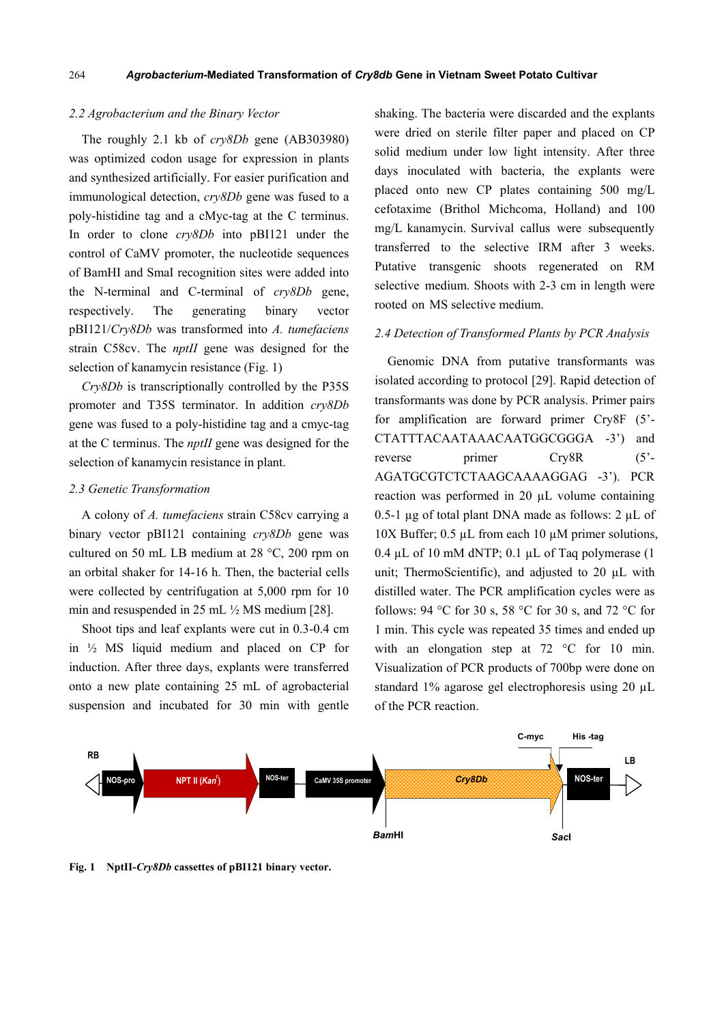#### *2.2 Agrobacterium and the Binary Vector*

The roughly 2.1 kb of *cry8Db* gene (AB303980) was optimized codon usage for expression in plants and synthesized artificially. For easier purification and immunological detection, *cry8Db* gene was fused to a poly-histidine tag and a cMyc-tag at the C terminus. In order to clone *cry8Db* into pBI121 under the control of CaMV promoter, the nucleotide sequences of BamHI and SmaI recognition sites were added into the N-terminal and C-terminal of *cry8Db* gene, respectively. The generating binary vector pBI121/*Cry8Db* was transformed into *A. tumefaciens*  strain C58cv. The *nptII* gene was designed for the selection of kanamycin resistance (Fig. 1)

*Cry8Db* is transcriptionally controlled by the P35S promoter and T35S terminator. In addition *cry8Db* gene was fused to a poly-histidine tag and a cmyc-tag at the C terminus. The *nptII* gene was designed for the selection of kanamycin resistance in plant.

#### *2.3 Genetic Transformation*

A colony of *A. tumefaciens* strain C58cv carrying a binary vector pBI121 containing *cry8Db* gene was cultured on 50 mL LB medium at  $28 \degree C$ ,  $200 \text{ rpm}$  on an orbital shaker for 14-16 h. Then, the bacterial cells were collected by centrifugation at 5,000 rpm for 10 min and resuspended in 25 mL ½ MS medium [28].

Shoot tips and leaf explants were cut in 0.3-0.4 cm in ½ MS liquid medium and placed on CP for induction. After three days, explants were transferred onto a new plate containing 25 mL of agrobacterial suspension and incubated for 30 min with gentle shaking. The bacteria were discarded and the explants were dried on sterile filter paper and placed on CP solid medium under low light intensity. After three days inoculated with bacteria, the explants were placed onto new CP plates containing 500 mg/L cefotaxime (Brithol Michcoma, Holland) and 100 mg/L kanamycin. Survival callus were subsequently transferred to the selective IRM after 3 weeks. Putative transgenic shoots regenerated on RM selective medium. Shoots with 2-3 cm in length were rooted on MS selective medium.

#### *2.4 Detection of Transformed Plants by PCR Analysis*

Genomic DNA from putative transformants was isolated according to protocol [29]. Rapid detection of transformants was done by PCR analysis. Primer pairs for amplification are forward primer Cry8F (5'- CTATTTACAATAAACAATGGCGGGA -3') and reverse primer Cry8R (5'-AGATGCGTCTCTAAGCAAAAGGAG -3'). PCR reaction was performed in 20 µL volume containing 0.5-1  $\mu$ g of total plant DNA made as follows: 2  $\mu$ L of 10X Buffer; 0.5 µL from each 10 µM primer solutions, 0.4  $\mu$ L of 10 mM dNTP; 0.1  $\mu$ L of Taq polymerase (1) unit; ThermoScientific), and adjusted to 20 µL with distilled water. The PCR amplification cycles were as follows: 94 °C for 30 s, 58 °C for 30 s, and 72 °C for 1 min. This cycle was repeated 35 times and ended up with an elongation step at 72 °C for 10 min. Visualization of PCR products of 700bp were done on standard 1% agarose gel electrophoresis using 20 µL of the PCR reaction.



**Fig. 1 NptII-***Cry8Db* **cassettes of pBI121 binary vector.**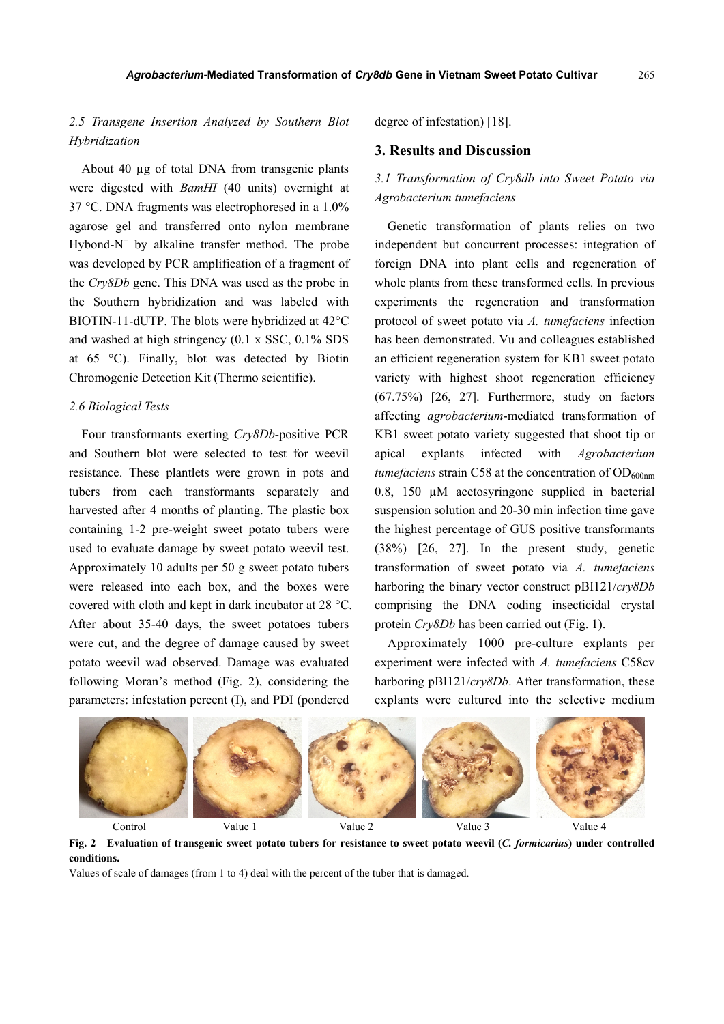# *2.5 Transgene Insertion Analyzed by Southern Blot Hybridization*

About 40 µg of total DNA from transgenic plants were digested with *BamHI* (40 units) overnight at 37 °C. DNA fragments was electrophoresed in a 1.0% agarose gel and transferred onto nylon membrane Hybond- $N^+$  by alkaline transfer method. The probe was developed by PCR amplification of a fragment of the *Cry8Db* gene. This DNA was used as the probe in the Southern hybridization and was labeled with BIOTIN-11-dUTP. The blots were hybridized at 42°C and washed at high stringency (0.1 x SSC, 0.1% SDS at 65 °C). Finally, blot was detected by Biotin Chromogenic Detection Kit (Thermo scientific).

## *2.6 Biological Tests*

Four transformants exerting *Cry8Db*-positive PCR and Southern blot were selected to test for weevil resistance. These plantlets were grown in pots and tubers from each transformants separately and harvested after 4 months of planting. The plastic box containing 1-2 pre-weight sweet potato tubers were used to evaluate damage by sweet potato weevil test. Approximately 10 adults per 50 g sweet potato tubers were released into each box, and the boxes were covered with cloth and kept in dark incubator at 28 °C. After about 35-40 days, the sweet potatoes tubers were cut, and the degree of damage caused by sweet potato weevil wad observed. Damage was evaluated following Moran's method (Fig. 2), considering the parameters: infestation percent (I), and PDI (pondered

degree of infestation) [18].

#### **3. Results and Discussion**

# *3.1 Transformation of Cry8db into Sweet Potato via Agrobacterium tumefaciens*

Genetic transformation of plants relies on two independent but concurrent processes: integration of foreign DNA into plant cells and regeneration of whole plants from these transformed cells. In previous experiments the regeneration and transformation protocol of sweet potato via *A. tumefaciens* infection has been demonstrated. Vu and colleagues established an efficient regeneration system for KB1 sweet potato variety with highest shoot regeneration efficiency (67.75%) [26, 27]. Furthermore, study on factors affecting *agrobacterium*-mediated transformation of KB1 sweet potato variety suggested that shoot tip or apical explants infected with *Agrobacterium tumefaciens* strain C58 at the concentration of OD<sub>600nm</sub> 0.8, 150  $\mu$ M acetosyringone supplied in bacterial suspension solution and 20-30 min infection time gave the highest percentage of GUS positive transformants (38%) [26, 27]. In the present study, genetic transformation of sweet potato via *A. tumefaciens* harboring the binary vector construct pBI121/*cry8Db* comprising the DNA coding insecticidal crystal protein *Cry8Db* has been carried out (Fig. 1).

Approximately 1000 pre-culture explants per experiment were infected with *A. tumefaciens* C58cv harboring pBI121/*cry8Db*. After transformation, these explants were cultured into the selective medium



Control Value 1 Value 2 Value 3 Value 4 **Fig. 2 Evaluation of transgenic sweet potato tubers for resistance to sweet potato weevil (***C. formicarius***) under controlled conditions.** 

Values of scale of damages (from 1 to 4) deal with the percent of the tuber that is damaged.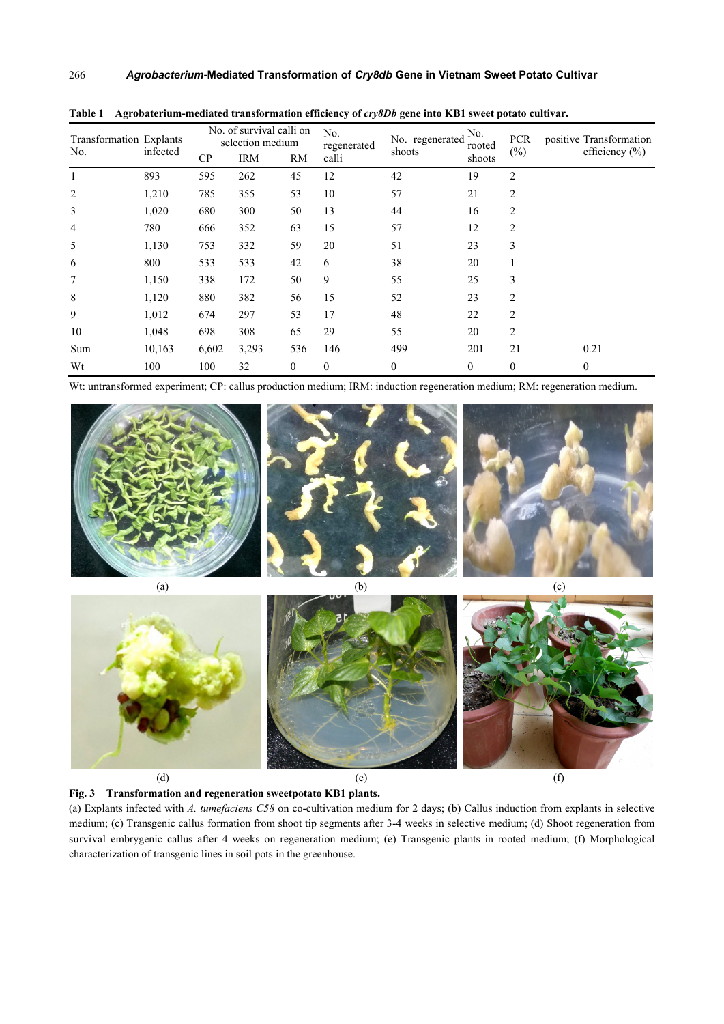| <b>Transformation Explants</b><br>No. | infected | No. of survival calli on<br>selection medium |            |              | No.<br>regenerated | No. regenerated<br>shoots | No.<br>rooted | <b>PCR</b>     | positive Transformation<br>efficiency $(\% )$ |
|---------------------------------------|----------|----------------------------------------------|------------|--------------|--------------------|---------------------------|---------------|----------------|-----------------------------------------------|
|                                       |          | CP                                           | <b>IRM</b> | RM           | calli              |                           | shoots        | $(\%)$         |                                               |
| 1                                     | 893      | 595                                          | 262        | 45           | 12                 | 42                        | 19            | $\overline{c}$ |                                               |
| $\overline{2}$                        | 1,210    | 785                                          | 355        | 53           | 10                 | 57                        | 21            | 2              |                                               |
| 3                                     | 1,020    | 680                                          | 300        | 50           | 13                 | 44                        | 16            | 2              |                                               |
| $\overline{4}$                        | 780      | 666                                          | 352        | 63           | 15                 | 57                        | 12            | 2              |                                               |
| 5                                     | 1,130    | 753                                          | 332        | 59           | 20                 | 51                        | 23            | 3              |                                               |
| 6                                     | 800      | 533                                          | 533        | 42           | 6                  | 38                        | 20            |                |                                               |
| 7                                     | 1,150    | 338                                          | 172        | 50           | 9                  | 55                        | 25            | 3              |                                               |
| $\,8\,$                               | 1,120    | 880                                          | 382        | 56           | 15                 | 52                        | 23            | $\overline{c}$ |                                               |
| 9                                     | 1,012    | 674                                          | 297        | 53           | 17                 | 48                        | 22            | $\overline{c}$ |                                               |
| 10                                    | 1,048    | 698                                          | 308        | 65           | 29                 | 55                        | 20            | 2              |                                               |
| Sum                                   | 10,163   | 6,602                                        | 3,293      | 536          | 146                | 499                       | 201           | 21             | 0.21                                          |
| Wt                                    | 100      | 100                                          | 32         | $\mathbf{0}$ | $\Omega$           | $\theta$                  | $\mathbf{0}$  | $\theta$       | $\boldsymbol{0}$                              |

Table 1 Agrobaterium-mediated transformation efficiency of *cry8Db* gene into KB1 sweet potato cultivar.

Wt: untransformed experiment; CP: callus production medium; IRM: induction regeneration medium; RM: regeneration medium.



**Fig. 3 Transformation and regeneration sweetpotato KB1 plants.** 

(a) Explants infected with *A. tumefaciens C58* on co-cultivation medium for 2 days; (b) Callus induction from explants in selective medium; (c) Transgenic callus formation from shoot tip segments after 3-4 weeks in selective medium; (d) Shoot regeneration from survival embrygenic callus after 4 weeks on regeneration medium; (e) Transgenic plants in rooted medium; (f) Morphological characterization of transgenic lines in soil pots in the greenhouse.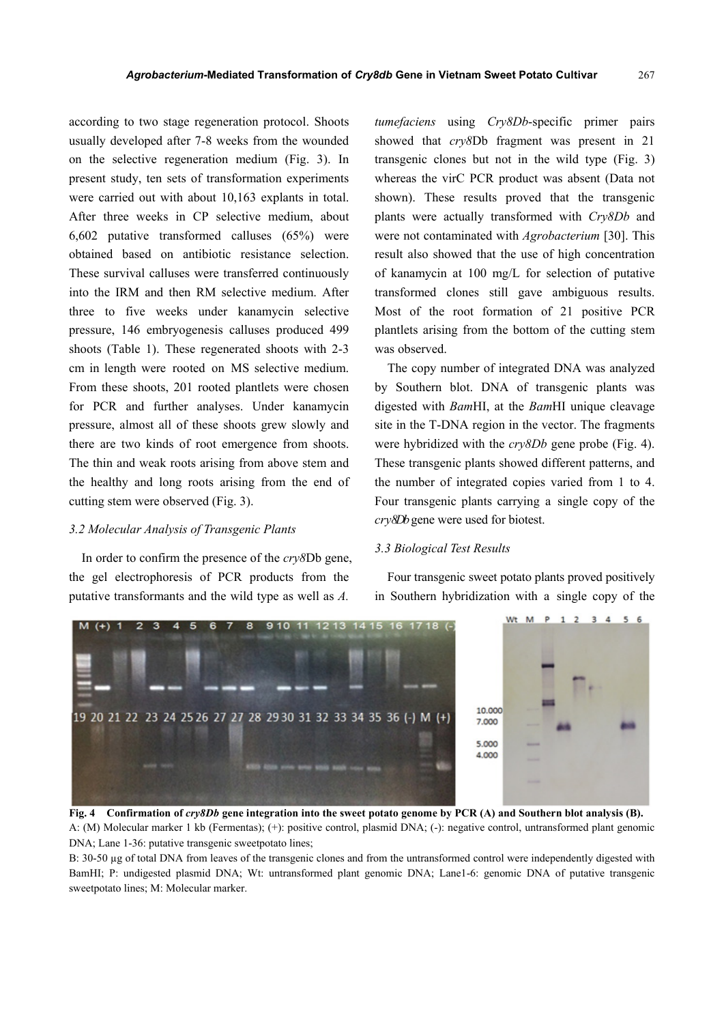according to two stage regeneration protocol. Shoots usually developed after 7-8 weeks from the wounded on the selective regeneration medium (Fig. 3). In present study, ten sets of transformation experiments were carried out with about 10,163 explants in total. After three weeks in CP selective medium, about 6,602 putative transformed calluses (65%) were obtained based on antibiotic resistance selection. These survival calluses were transferred continuously into the IRM and then RM selective medium. After three to five weeks under kanamycin selective pressure, 146 embryogenesis calluses produced 499 shoots (Table 1). These regenerated shoots with 2-3 cm in length were rooted on MS selective medium. From these shoots, 201 rooted plantlets were chosen for PCR and further analyses. Under kanamycin pressure, almost all of these shoots grew slowly and there are two kinds of root emergence from shoots. The thin and weak roots arising from above stem and the healthy and long roots arising from the end of cutting stem were observed (Fig. 3).

#### *3.2 Molecular Analysis of Transgenic Plants*

In order to confirm the presence of the *cry8*Db gene, the gel electrophoresis of PCR products from the putative transformants and the wild type as well as *A.* 

*tumefaciens* using *Cry8Db*-specific primer pairs showed that *cry8*Db fragment was present in 21 transgenic clones but not in the wild type (Fig. 3) whereas the virC PCR product was absent (Data not shown). These results proved that the transgenic plants were actually transformed with *Cry8Db* and were not contaminated with *Agrobacterium* [30]. This result also showed that the use of high concentration of kanamycin at 100 mg/L for selection of putative transformed clones still gave ambiguous results. Most of the root formation of 21 positive PCR plantlets arising from the bottom of the cutting stem was observed.

The copy number of integrated DNA was analyzed by Southern blot. DNA of transgenic plants was digested with *Bam*HI, at the *Bam*HI unique cleavage site in the T-DNA region in the vector. The fragments were hybridized with the *cry8Db* gene probe (Fig. 4). These transgenic plants showed different patterns, and the number of integrated copies varied from 1 to 4. Four transgenic plants carrying a single copy of the *cry8Db* gene were used for biotest.

#### *3.3 Biological Test Results*



Four transgenic sweet potato plants proved positively in Southern hybridization with a single copy of the

**Fig. 4 Confirmation of** *cry8Db* **gene integration into the sweet potato genome by PCR (A) and Southern blot analysis (B).**  A: (M) Molecular marker 1 kb (Fermentas); (+): positive control, plasmid DNA; (-): negative control, untransformed plant genomic DNA; Lane 1-36: putative transgenic sweetpotato lines;

B: 30-50 µg of total DNA from leaves of the transgenic clones and from the untransformed control were independently digested with BamHI; P: undigested plasmid DNA; Wt: untransformed plant genomic DNA; Lane1-6: genomic DNA of putative transgenic sweetpotato lines; M: Molecular marker.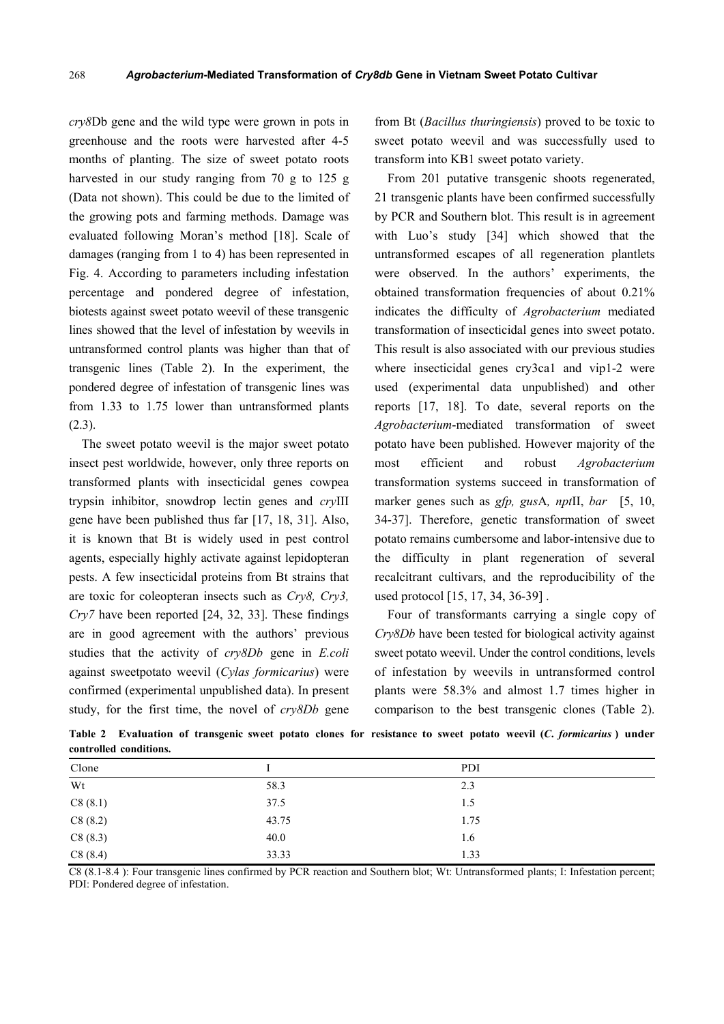*cry8*Db gene and the wild type were grown in pots in greenhouse and the roots were harvested after 4-5 months of planting. The size of sweet potato roots harvested in our study ranging from 70 g to 125 g (Data not shown). This could be due to the limited of the growing pots and farming methods. Damage was evaluated following Moran's method [18]. Scale of damages (ranging from 1 to 4) has been represented in Fig. 4. According to parameters including infestation percentage and pondered degree of infestation, biotests against sweet potato weevil of these transgenic lines showed that the level of infestation by weevils in untransformed control plants was higher than that of transgenic lines (Table 2). In the experiment, the pondered degree of infestation of transgenic lines was from 1.33 to 1.75 lower than untransformed plants  $(2.3)$ .

The sweet potato weevil is the major sweet potato insect pest worldwide, however, only three reports on transformed plants with insecticidal genes cowpea trypsin inhibitor, snowdrop lectin genes and *cry*III gene have been published thus far [17, 18, 31]. Also, it is known that Bt is widely used in pest control agents, especially highly activate against lepidopteran pests. A few insecticidal proteins from Bt strains that are toxic for coleopteran insects such as *Cry8, Cry3, Cry7* have been reported [24, 32, 33]. These findings are in good agreement with the authors' previous studies that the activity of *cry8Db* gene in *E.coli* against sweetpotato weevil (*Cylas formicarius*) were confirmed (experimental unpublished data). In present study, for the first time, the novel of *cry8Db* gene

from Bt (*Bacillus thuringiensis*) proved to be toxic to sweet potato weevil and was successfully used to transform into KB1 sweet potato variety.

From 201 putative transgenic shoots regenerated, 21 transgenic plants have been confirmed successfully by PCR and Southern blot. This result is in agreement with Luo's study [34] which showed that the untransformed escapes of all regeneration plantlets were observed. In the authors' experiments, the obtained transformation frequencies of about 0.21% indicates the difficulty of *Agrobacterium* mediated transformation of insecticidal genes into sweet potato. This result is also associated with our previous studies where insecticidal genes cry3ca1 and vip1-2 were used (experimental data unpublished) and other reports [17, 18]. To date, several reports on the *Agrobacterium*-mediated transformation of sweet potato have been published. However majority of the most efficient and robust *Agrobacterium* transformation systems succeed in transformation of marker genes such as *gfp, gus*A*, npt*II, *bar* [5, 10, 34-37]. Therefore, genetic transformation of sweet potato remains cumbersome and labor-intensive due to the difficulty in plant regeneration of several recalcitrant cultivars, and the reproducibility of the used protocol [15, 17, 34, 36-39] .

Four of transformants carrying a single copy of *Cry8Db* have been tested for biological activity against sweet potato weevil. Under the control conditions, levels of infestation by weevils in untransformed control plants were 58.3% and almost 1.7 times higher in comparison to the best transgenic clones (Table 2).

**Table 2 Evaluation of transgenic sweet potato clones for resistance to sweet potato weevil (***C***.** *formicarius* **) under controlled conditions.** 

| Clone                            |       | PDI  |
|----------------------------------|-------|------|
| Wt                               | 58.3  | 2.3  |
|                                  | 37.5  | 1.5  |
|                                  | 43.75 | 1.75 |
| C8 (8.1)<br>C8 (8.2)<br>C8 (8.3) | 40.0  | 1.6  |
| C8(8.4)                          | 33.33 | 1.33 |

C8 (8.1-8.4 ): Four transgenic lines confirmed by PCR reaction and Southern blot; Wt: Untransformed plants; I: Infestation percent; PDI: Pondered degree of infestation.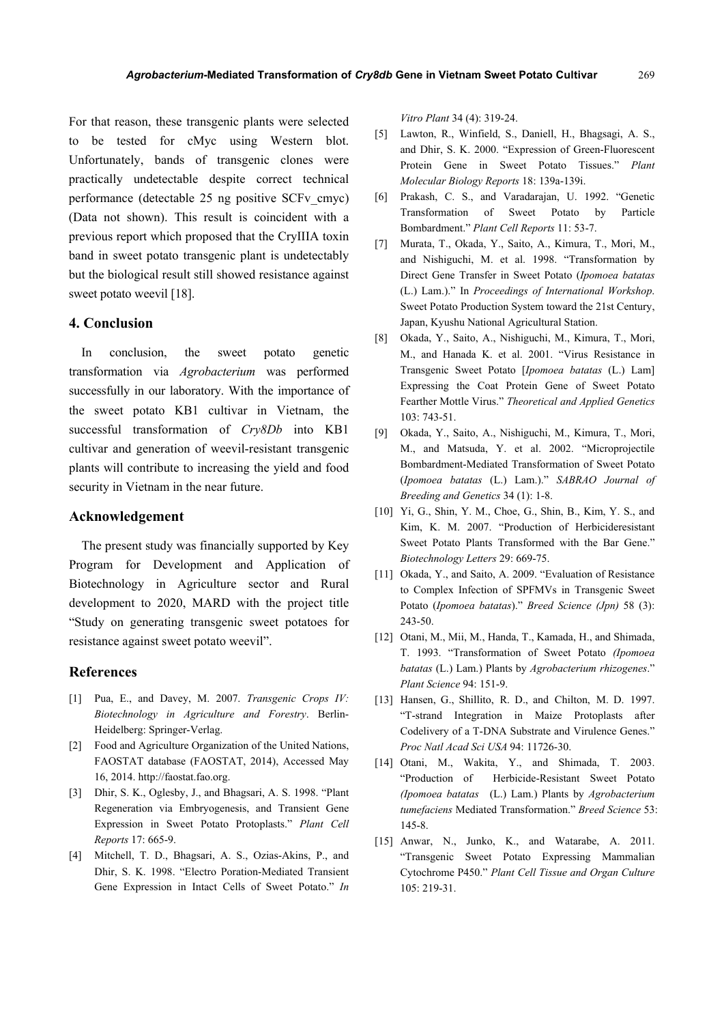For that reason, these transgenic plants were selected to be tested for cMyc using Western blot. Unfortunately, bands of transgenic clones were practically undetectable despite correct technical performance (detectable 25 ng positive SCFv\_cmyc) (Data not shown). This result is coincident with a previous report which proposed that the CryIIIA toxin band in sweet potato transgenic plant is undetectably but the biological result still showed resistance against sweet potato weevil [18].

#### **4. Conclusion**

In conclusion, the sweet potato genetic transformation via *Agrobacterium* was performed successfully in our laboratory. With the importance of the sweet potato KB1 cultivar in Vietnam, the successful transformation of *Cry8Db* into KB1 cultivar and generation of weevil-resistant transgenic plants will contribute to increasing the yield and food security in Vietnam in the near future.

# **Acknowledgement**

The present study was financially supported by Key Program for Development and Application of Biotechnology in Agriculture sector and Rural development to 2020, MARD with the project title "Study on generating transgenic sweet potatoes for resistance against sweet potato weevil".

#### **References**

- [1] Pua, E., and Davey, M. 2007. *Transgenic Crops IV: Biotechnology in Agriculture and Forestry*. Berlin-Heidelberg: Springer-Verlag.
- [2] Food and Agriculture Organization of the United Nations, FAOSTAT database (FAOSTAT, 2014), Accessed May 16, 2014. http://faostat.fao.org.
- [3] Dhir, S. K., Oglesby, J., and Bhagsari, A. S. 1998. "Plant Regeneration via Embryogenesis, and Transient Gene Expression in Sweet Potato Protoplasts." *Plant Cell Reports* 17: 665-9.
- [4] Mitchell, T. D., Bhagsari, A. S., Ozias-Akins, P., and Dhir, S. K. 1998. "Electro Poration-Mediated Transient Gene Expression in Intact Cells of Sweet Potato." *In*

*Vitro Plant* 34 (4): 319-24.

- [5] Lawton, R., Winfield, S., Daniell, H., Bhagsagi, A. S., and Dhir, S. K. 2000. "Expression of Green-Fluorescent Protein Gene in Sweet Potato Tissues." *Plant Molecular Biology Reports* 18: 139a-139i.
- [6] Prakash, C. S., and Varadarajan, U. 1992. "Genetic Transformation of Sweet Potato by Particle Bombardment." *Plant Cell Reports* 11: 53-7.
- [7] Murata, T., Okada, Y., Saito, A., Kimura, T., Mori, M., and Nishiguchi, M. et al. 1998. "Transformation by Direct Gene Transfer in Sweet Potato (*Ipomoea batatas* (L.) Lam.)." In *Proceedings of International Workshop*. Sweet Potato Production System toward the 21st Century, Japan, Kyushu National Agricultural Station.
- [8] Okada, Y., Saito, A., Nishiguchi, M., Kimura, T., Mori, M., and Hanada K. et al. 2001. "Virus Resistance in Transgenic Sweet Potato [*Ipomoea batatas* (L.) Lam] Expressing the Coat Protein Gene of Sweet Potato Fearther Mottle Virus." *Theoretical and Applied Genetics* 103: 743-51.
- [9] Okada, Y., Saito, A., Nishiguchi, M., Kimura, T., Mori, M., and Matsuda, Y. et al. 2002. "Microprojectile Bombardment-Mediated Transformation of Sweet Potato (*Ipomoea batatas* (L.) Lam.)." *SABRAO Journal of Breeding and Genetics* 34 (1): 1-8.
- [10] Yi, G., Shin, Y. M., Choe, G., Shin, B., Kim, Y. S., and Kim, K. M. 2007. "Production of Herbicideresistant Sweet Potato Plants Transformed with the Bar Gene." *Biotechnology Letters* 29: 669-75.
- [11] Okada, Y., and Saito, A. 2009. "Evaluation of Resistance to Complex Infection of SPFMVs in Transgenic Sweet Potato (*Ipomoea batatas*)." *Breed Science (Jpn)* 58 (3): 243-50.
- [12] Otani, M., Mii, M., Handa, T., Kamada, H., and Shimada, T. 1993. "Transformation of Sweet Potato *(Ipomoea batatas* (L.) Lam.) Plants by *Agrobacterium rhizogenes*." *Plant Science* 94: 151-9.
- [13] Hansen, G., Shillito, R. D., and Chilton, M. D. 1997. "T-strand Integration in Maize Protoplasts after Codelivery of a T-DNA Substrate and Virulence Genes." *Proc Natl Acad Sci USA* 94: 11726-30.
- [14] Otani, M., Wakita, Y., and Shimada, T. 2003. "Production of Herbicide-Resistant Sweet Potato *(Ipomoea batatas* (L.) Lam.) Plants by *Agrobacterium tumefaciens* Mediated Transformation." *Breed Science* 53: 145-8.
- [15] Anwar, N., Junko, K., and Watarabe, A. 2011. "Transgenic Sweet Potato Expressing Mammalian Cytochrome P450." *Plant Cell Tissue and Organ Culture* 105: 219-31.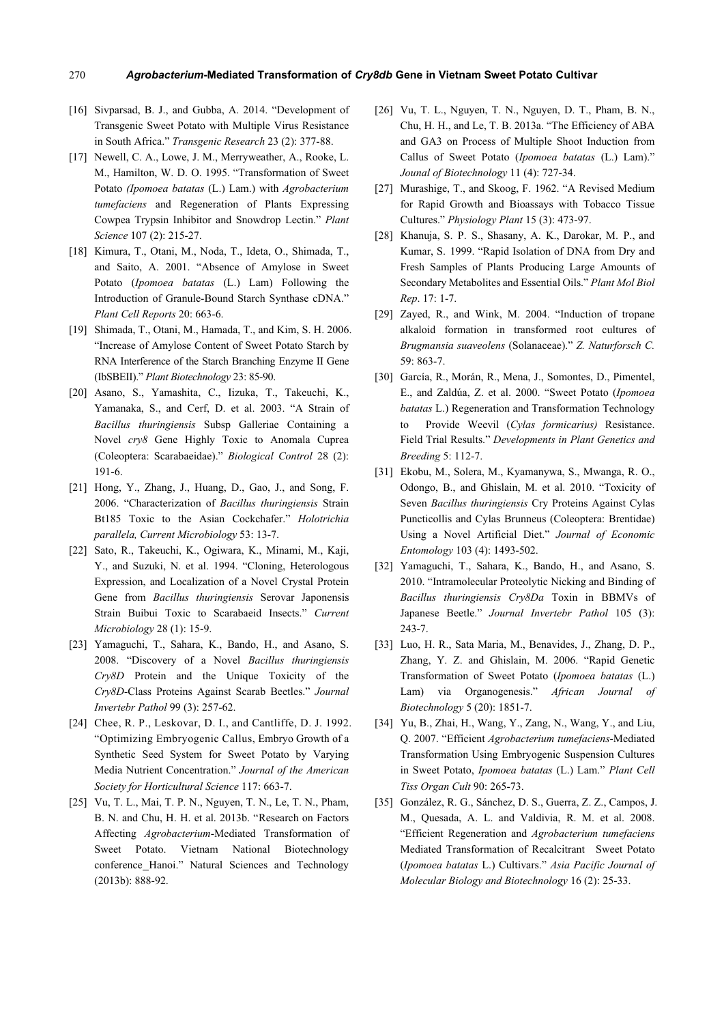#### *Agrobacterium***-Mediated Transformation of** *Cry8db* **Gene in Vietnam Sweet Potato Cultivar**  270

- [16] Sivparsad, B. J., and Gubba, A. 2014. "Development of Transgenic Sweet Potato with Multiple Virus Resistance in South Africa." *Transgenic Research* 23 (2): 377-88.
- [17] Newell, C. A., Lowe, J. M., Merryweather, A., Rooke, L. M., Hamilton, W. D. O. 1995. "Transformation of Sweet Potato *(Ipomoea batatas* (L.) Lam.) with *Agrobacterium tumefaciens* and Regeneration of Plants Expressing Cowpea Trypsin Inhibitor and Snowdrop Lectin." *Plant Science* 107 (2): 215-27.
- [18] Kimura, T., Otani, M., Noda, T., Ideta, O., Shimada, T., and Saito, A. 2001. "Absence of Amylose in Sweet Potato (*Ipomoea batatas* (L.) Lam) Following the Introduction of Granule-Bound Starch Synthase cDNA." *Plant Cell Reports* 20: 663-6.
- [19] Shimada, T., Otani, M., Hamada, T., and Kim, S. H. 2006. "Increase of Amylose Content of Sweet Potato Starch by RNA Interference of the Starch Branching Enzyme II Gene (IbSBEII)." *Plant Biotechnology* 23: 85-90.
- [20] Asano, S., Yamashita, C., Iizuka, T., Takeuchi, K., Yamanaka, S., and Cerf, D. et al. 2003. "A Strain of *Bacillus thuringiensis* Subsp Galleriae Containing a Novel *cry8* Gene Highly Toxic to Anomala Cuprea (Coleoptera: Scarabaeidae)." *Biological Control* 28 (2): 191-6.
- [21] Hong, Y., Zhang, J., Huang, D., Gao, J., and Song, F. 2006. "Characterization of *Bacillus thuringiensis* Strain Bt185 Toxic to the Asian Cockchafer." *Holotrichia parallela, Current Microbiology* 53: 13-7.
- [22] Sato, R., Takeuchi, K., Ogiwara, K., Minami, M., Kaji, Y., and Suzuki, N. et al. 1994. "Cloning, Heterologous Expression, and Localization of a Novel Crystal Protein Gene from *Bacillus thuringiensis* Serovar Japonensis Strain Buibui Toxic to Scarabaeid Insects." *Current Microbiology* 28 (1): 15-9.
- [23] Yamaguchi, T., Sahara, K., Bando, H., and Asano, S. 2008. "Discovery of a Novel *Bacillus thuringiensis Cry8D* Protein and the Unique Toxicity of the *Cry8D-*Class Proteins Against Scarab Beetles." *Journal Invertebr Pathol* 99 (3): 257-62.
- [24] Chee, R. P., Leskovar, D. I., and Cantliffe, D. J. 1992. "Optimizing Embryogenic Callus, Embryo Growth of a Synthetic Seed System for Sweet Potato by Varying Media Nutrient Concentration." *Journal of the American Society for Horticultural Science* 117: 663-7.
- [25] Vu, T. L., Mai, T. P. N., Nguyen, T. N., Le, T. N., Pham, B. N. and Chu, H. H. et al. 2013b. "Research on Factors Affecting *Agrobacterium*-Mediated Transformation of Sweet Potato. Vietnam National Biotechnology conference Hanoi." Natural Sciences and Technology (2013b): 888-92.
- [26] Vu, T. L., Nguyen, T. N., Nguyen, D. T., Pham, B. N., Chu, H. H., and Le, T. B. 2013a. "The Efficiency of ABA and GA3 on Process of Multiple Shoot Induction from Callus of Sweet Potato (*Ipomoea batatas* (L.) Lam)." *Jounal of Biotechnology* 11 (4): 727-34.
- [27] Murashige, T., and Skoog, F. 1962. "A Revised Medium for Rapid Growth and Bioassays with Tobacco Tissue Cultures." *Physiology Plant* 15 (3): 473-97.
- [28] Khanuja, S. P. S., Shasany, A. K., Darokar, M. P., and Kumar, S. 1999. "Rapid Isolation of DNA from Dry and Fresh Samples of Plants Producing Large Amounts of Secondary Metabolites and Essential Oils." *Plant Mol Biol Rep*. 17: 1-7.
- [29] Zayed, R., and Wink, M. 2004. "Induction of tropane alkaloid formation in transformed root cultures of *Brugmansia suaveolens* (Solanaceae)." *Z. Naturforsch C.* 59: 863-7.
- [30] García, R., Morán, R., Mena, J., Somontes, D., Pimentel, E., and Zaldúa, Z. et al. 2000. "Sweet Potato (*Ipomoea batatas* L.) Regeneration and Transformation Technology to Provide Weevil (*Cylas formicarius)* Resistance. Field Trial Results." *Developments in Plant Genetics and Breeding* 5: 112-7.
- [31] Ekobu, M., Solera, M., Kyamanywa, S., Mwanga, R. O., Odongo, B., and Ghislain, M. et al. 2010. "Toxicity of Seven *Bacillus thuringiensis* Cry Proteins Against Cylas Puncticollis and Cylas Brunneus (Coleoptera: Brentidae) Using a Novel Artificial Diet." *Journal of Economic Entomology* 103 (4): 1493-502.
- [32] Yamaguchi, T., Sahara, K., Bando, H., and Asano, S. 2010. "Intramolecular Proteolytic Nicking and Binding of *Bacillus thuringiensis Cry8Da* Toxin in BBMVs of Japanese Beetle." *Journal Invertebr Pathol* 105 (3): 243-7.
- [33] Luo, H. R., Sata Maria, M., Benavides, J., Zhang, D. P., Zhang, Y. Z. and Ghislain, M. 2006. "Rapid Genetic Transformation of Sweet Potato (*Ipomoea batatas* (L.) Lam) via Organogenesis." *African Journal of Biotechnology* 5 (20): 1851-7.
- [34] Yu, B., Zhai, H., Wang, Y., Zang, N., Wang, Y., and Liu, Q. 2007. "Efficient *Agrobacterium tumefaciens*-Mediated Transformation Using Embryogenic Suspension Cultures in Sweet Potato, *Ipomoea batatas* (L.) Lam." *Plant Cell Tiss Organ Cult* 90: 265-73.
- [35] González, R. G., Sánchez, D. S., Guerra, Z. Z., Campos, J. M., Quesada, A. L. and Valdivia, R. M. et al. 2008. "Efficient Regeneration and *Agrobacterium tumefaciens* Mediated Transformation of Recalcitrant Sweet Potato (*Ipomoea batatas* L.) Cultivars." *Asia Pacific Journal of Molecular Biology and Biotechnology* 16 (2): 25-33.